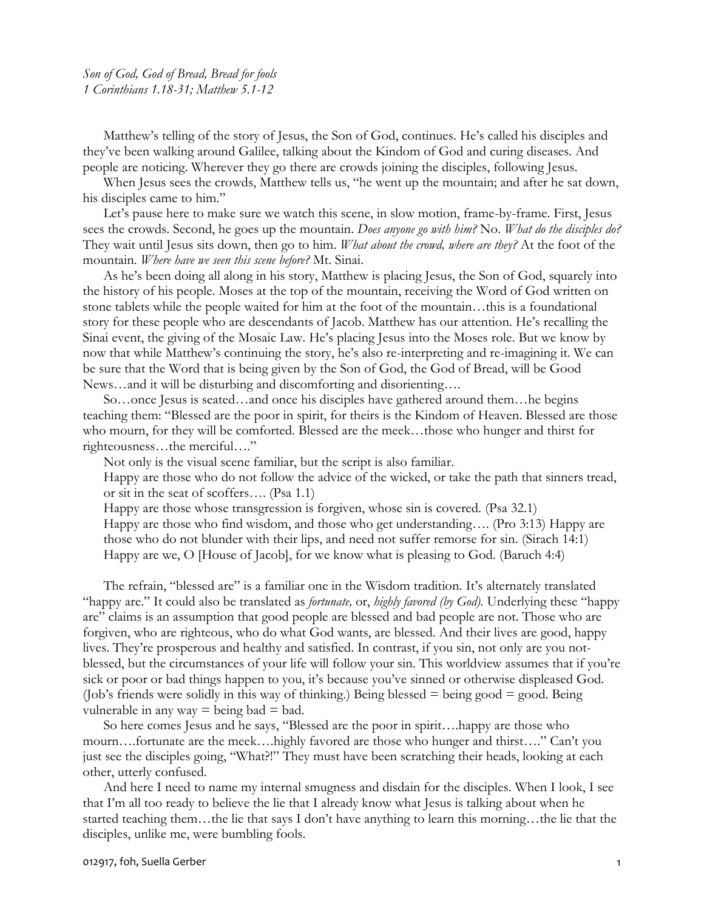Matthew's telling of the story of Jesus, the Son of God, continues. He's called his disciples and they've been walking around Galilee, talking about the Kindom of God and curing diseases. And people are noticing. Wherever they go there are crowds joining the disciples, following Jesus.

When Jesus sees the crowds, Matthew tells us, "he went up the mountain; and after he sat down, his disciples came to him."

Let's pause here to make sure we watch this scene, in slow motion, frame-by-frame. First, Jesus sees the crowds. Second, he goes up the mountain. *Does anyone go with him?* No. *What do the disciples do?*  They wait until Jesus sits down, then go to him. *What about the crowd, where are they?* At the foot of the mountain. *Where have we seen this scene before?* Mt. Sinai.

As he's been doing all along in his story, Matthew is placing Jesus, the Son of God, squarely into the history of his people. Moses at the top of the mountain, receiving the Word of God written on stone tablets while the people waited for him at the foot of the mountain…this is a foundational story for these people who are descendants of Jacob. Matthew has our attention. He's recalling the Sinai event, the giving of the Mosaic Law. He's placing Jesus into the Moses role. But we know by now that while Matthew's continuing the story, he's also re-interpreting and re-imagining it. We can be sure that the Word that is being given by the Son of God, the God of Bread, will be Good News…and it will be disturbing and discomforting and disorienting….

So…once Jesus is seated…and once his disciples have gathered around them…he begins teaching them: "Blessed are the poor in spirit, for theirs is the Kindom of Heaven. Blessed are those who mourn, for they will be comforted. Blessed are the meek...those who hunger and thirst for righteousness…the merciful…."

Not only is the visual scene familiar, but the script is also familiar.

Happy are those who do not follow the advice of the wicked, or take the path that sinners tread, or sit in the seat of scoffers…. (Psa 1.1)

Happy are those whose transgression is forgiven, whose sin is covered. (Psa 32.1) Happy are those who find wisdom, and those who get understanding…. (Pro 3:13) Happy are those who do not blunder with their lips, and need not suffer remorse for sin. (Sirach 14:1) Happy are we, O [House of Jacob], for we know what is pleasing to God. (Baruch 4:4)

The refrain, "blessed are" is a familiar one in the Wisdom tradition. It's alternately translated "happy are." It could also be translated as *fortunate,* or, *highly favored (by God).* Underlying these "happy are" claims is an assumption that good people are blessed and bad people are not. Those who are forgiven, who are righteous, who do what God wants, are blessed. And their lives are good, happy lives. They're prosperous and healthy and satisfied. In contrast, if you sin, not only are you notblessed, but the circumstances of your life will follow your sin. This worldview assumes that if you're sick or poor or bad things happen to you, it's because you've sinned or otherwise displeased God. (Job's friends were solidly in this way of thinking.) Being blessed = being good = good. Being vulnerable in any way  $=$  being bad  $=$  bad.

So here comes Jesus and he says, "Blessed are the poor in spirit….happy are those who mourn….fortunate are the meek….highly favored are those who hunger and thirst…." Can't you just see the disciples going, "What?!" They must have been scratching their heads, looking at each other, utterly confused.

And here I need to name my internal smugness and disdain for the disciples. When I look, I see that I'm all too ready to believe the lie that I already know what Jesus is talking about when he started teaching them…the lie that says I don't have anything to learn this morning…the lie that the disciples, unlike me, were bumbling fools.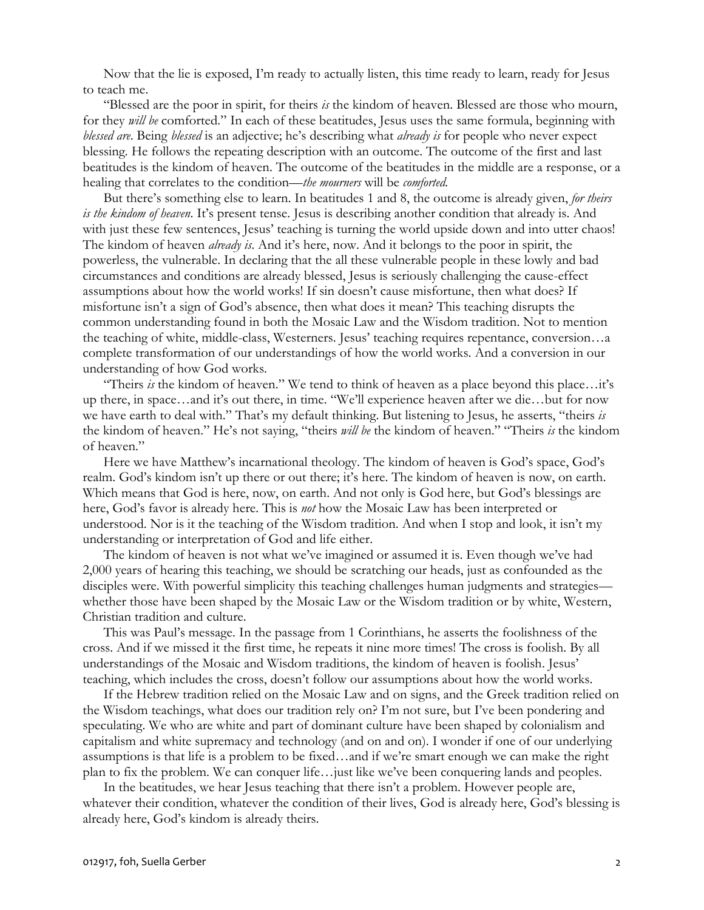Now that the lie is exposed, I'm ready to actually listen, this time ready to learn, ready for Jesus to teach me.

"Blessed are the poor in spirit, for theirs *is* the kindom of heaven. Blessed are those who mourn, for they *will be* comforted." In each of these beatitudes, Jesus uses the same formula, beginning with *blessed are*. Being *blessed* is an adjective; he's describing what *already is* for people who never expect blessing*.* He follows the repeating description with an outcome. The outcome of the first and last beatitudes is the kindom of heaven. The outcome of the beatitudes in the middle are a response, or a healing that correlates to the condition—*the mourners* will be *comforted.*

But there's something else to learn. In beatitudes 1 and 8, the outcome is already given, *for theirs is the kindom of heaven*. It's present tense. Jesus is describing another condition that already is. And with just these few sentences, Jesus' teaching is turning the world upside down and into utter chaos! The kindom of heaven *already is*. And it's here, now. And it belongs to the poor in spirit, the powerless, the vulnerable. In declaring that the all these vulnerable people in these lowly and bad circumstances and conditions are already blessed, Jesus is seriously challenging the cause-effect assumptions about how the world works! If sin doesn't cause misfortune, then what does? If misfortune isn't a sign of God's absence, then what does it mean? This teaching disrupts the common understanding found in both the Mosaic Law and the Wisdom tradition. Not to mention the teaching of white, middle-class, Westerners. Jesus' teaching requires repentance, conversion…a complete transformation of our understandings of how the world works. And a conversion in our understanding of how God works.

"Theirs *is* the kindom of heaven." We tend to think of heaven as a place beyond this place…it's up there, in space…and it's out there, in time. "We'll experience heaven after we die…but for now we have earth to deal with." That's my default thinking. But listening to Jesus, he asserts, "theirs *is* the kindom of heaven." He's not saying, "theirs *will be* the kindom of heaven." "Theirs *is* the kindom of heaven."

Here we have Matthew's incarnational theology. The kindom of heaven is God's space, God's realm. God's kindom isn't up there or out there; it's here. The kindom of heaven is now, on earth. Which means that God is here, now, on earth. And not only is God here, but God's blessings are here, God's favor is already here. This is *not* how the Mosaic Law has been interpreted or understood. Nor is it the teaching of the Wisdom tradition. And when I stop and look, it isn't my understanding or interpretation of God and life either.

The kindom of heaven is not what we've imagined or assumed it is. Even though we've had 2,000 years of hearing this teaching, we should be scratching our heads, just as confounded as the disciples were. With powerful simplicity this teaching challenges human judgments and strategies whether those have been shaped by the Mosaic Law or the Wisdom tradition or by white, Western, Christian tradition and culture.

This was Paul's message. In the passage from 1 Corinthians, he asserts the foolishness of the cross. And if we missed it the first time, he repeats it nine more times! The cross is foolish. By all understandings of the Mosaic and Wisdom traditions, the kindom of heaven is foolish. Jesus' teaching, which includes the cross, doesn't follow our assumptions about how the world works.

If the Hebrew tradition relied on the Mosaic Law and on signs, and the Greek tradition relied on the Wisdom teachings, what does our tradition rely on? I'm not sure, but I've been pondering and speculating. We who are white and part of dominant culture have been shaped by colonialism and capitalism and white supremacy and technology (and on and on). I wonder if one of our underlying assumptions is that life is a problem to be fixed…and if we're smart enough we can make the right plan to fix the problem. We can conquer life…just like we've been conquering lands and peoples.

In the beatitudes, we hear Jesus teaching that there isn't a problem. However people are, whatever their condition, whatever the condition of their lives, God is already here, God's blessing is already here, God's kindom is already theirs.